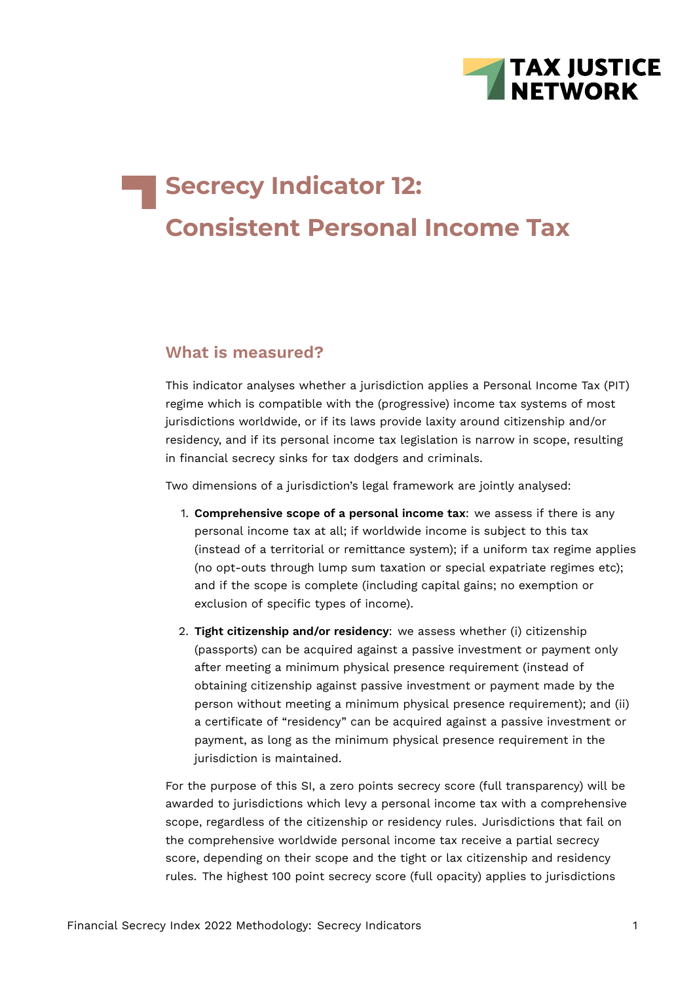

# **Secrecy Indicator 12: Consistent Personal Income Tax**

## **What is measured?**

This indicator analyses whether a jurisdiction applies a Personal Income Tax (PIT) regime which is compatible with the (progressive) income tax systems of most jurisdictions worldwide, or if its laws provide laxity around citizenship and/or residency, and if its personal income tax legislation is narrow in scope, resulting in financial secrecy sinks for tax dodgers and criminals.

Two dimensions of a jurisdiction's legal framework are jointly analysed:

- 1. **Comprehensive scope of a personal income tax**: we assess if there is any personal income tax at all; if worldwide income is subject to this tax (instead of a territorial or remittance system); if a uniform tax regime applies (no opt-outs through lump sum taxation or special expatriate regimes etc); and if the scope is complete (including capital gains; no exemption or exclusion of specific types of income).
- 2. **Tight citizenship and/or residency**: we assess whether (i) citizenship (passports) can be acquired against a passive investment or payment only after meeting a minimum physical presence requirement (instead of obtaining citizenship against passive investment or payment made by the person without meeting a minimum physical presence requirement); and (ii) a certificate of "residency" can be acquired against a passive investment or payment, as long as the minimum physical presence requirement in the jurisdiction is maintained.

For the purpose of this SI, a zero points secrecy score (full transparency) will be awarded to jurisdictions which levy a personal income tax with a comprehensive scope, regardless of the citizenship or residency rules. Jurisdictions that fail on the comprehensive worldwide personal income tax receive a partial secrecy score, depending on their scope and the tight or lax citizenship and residency rules. The highest 100 point secrecy score (full opacity) applies to jurisdictions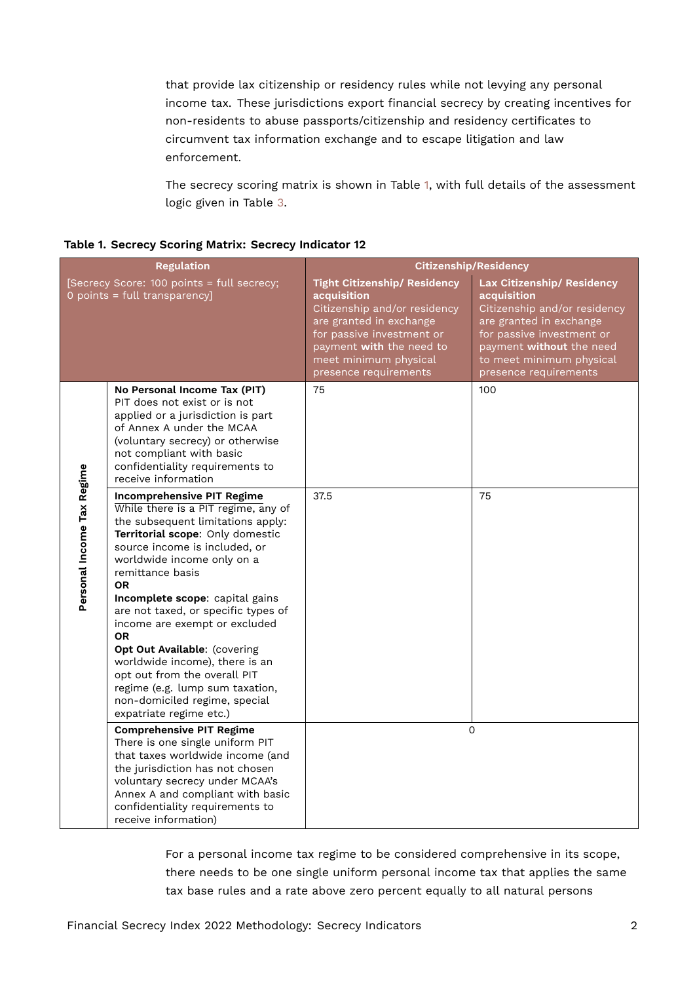that provide lax citizenship or residency rules while not levying any personal income tax. These jurisdictions export financial secrecy by creating incentives for non-residents to abuse passports/citizenship and residency certificates to circumvent tax information exchange and to escape litigation and law enforcement.

<span id="page-1-0"></span>The secrecy scoring matrix is shown in Table [1,](#page-1-0) with full details of the assessment logic given in Table [3](#page-7-0).

|                            | <b>Regulation</b>                                                                                                                                                                                                                                                                                                                                                                                                                                                                                                                                                          |                                                                                                                                                                                                                          | <b>Citizenship/Residency</b>                                                                                                                                                                                       |
|----------------------------|----------------------------------------------------------------------------------------------------------------------------------------------------------------------------------------------------------------------------------------------------------------------------------------------------------------------------------------------------------------------------------------------------------------------------------------------------------------------------------------------------------------------------------------------------------------------------|--------------------------------------------------------------------------------------------------------------------------------------------------------------------------------------------------------------------------|--------------------------------------------------------------------------------------------------------------------------------------------------------------------------------------------------------------------|
|                            | [Secrecy Score: 100 points = full secrecy;<br>0 points = full transparency]                                                                                                                                                                                                                                                                                                                                                                                                                                                                                                | <b>Tight Citizenship/ Residency</b><br>acquisition<br>Citizenship and/or residency<br>are granted in exchange<br>for passive investment or<br>payment with the need to<br>meet minimum physical<br>presence requirements | Lax Citizenship/ Residency<br>acquisition<br>Citizenship and/or residency<br>are granted in exchange<br>for passive investment or<br>payment without the need<br>to meet minimum physical<br>presence requirements |
|                            | No Personal Income Tax (PIT)<br>PIT does not exist or is not<br>applied or a jurisdiction is part<br>of Annex A under the MCAA<br>(voluntary secrecy) or otherwise<br>not compliant with basic<br>confidentiality requirements to<br>receive information                                                                                                                                                                                                                                                                                                                   | 75                                                                                                                                                                                                                       | 100                                                                                                                                                                                                                |
| Personal Income Tax Regime | <b>Incomprehensive PIT Regime</b><br>While there is a PIT regime, any of<br>the subsequent limitations apply:<br>Territorial scope: Only domestic<br>source income is included, or<br>worldwide income only on a<br>remittance basis<br><b>OR</b><br>Incomplete scope: capital gains<br>are not taxed, or specific types of<br>income are exempt or excluded<br><b>OR</b><br>Opt Out Available: (covering<br>worldwide income), there is an<br>opt out from the overall PIT<br>regime (e.g. lump sum taxation,<br>non-domiciled regime, special<br>expatriate regime etc.) | 37.5                                                                                                                                                                                                                     | 75                                                                                                                                                                                                                 |
|                            | <b>Comprehensive PIT Regime</b><br>There is one single uniform PIT<br>that taxes worldwide income (and<br>the jurisdiction has not chosen<br>voluntary secrecy under MCAA's<br>Annex A and compliant with basic<br>confidentiality requirements to<br>receive information)                                                                                                                                                                                                                                                                                                 |                                                                                                                                                                                                                          | $\Omega$                                                                                                                                                                                                           |

For a personal income tax regime to be considered comprehensive in its scope, there needs to be one single uniform personal income tax that applies the same tax base rules and a rate above zero percent equally to all natural persons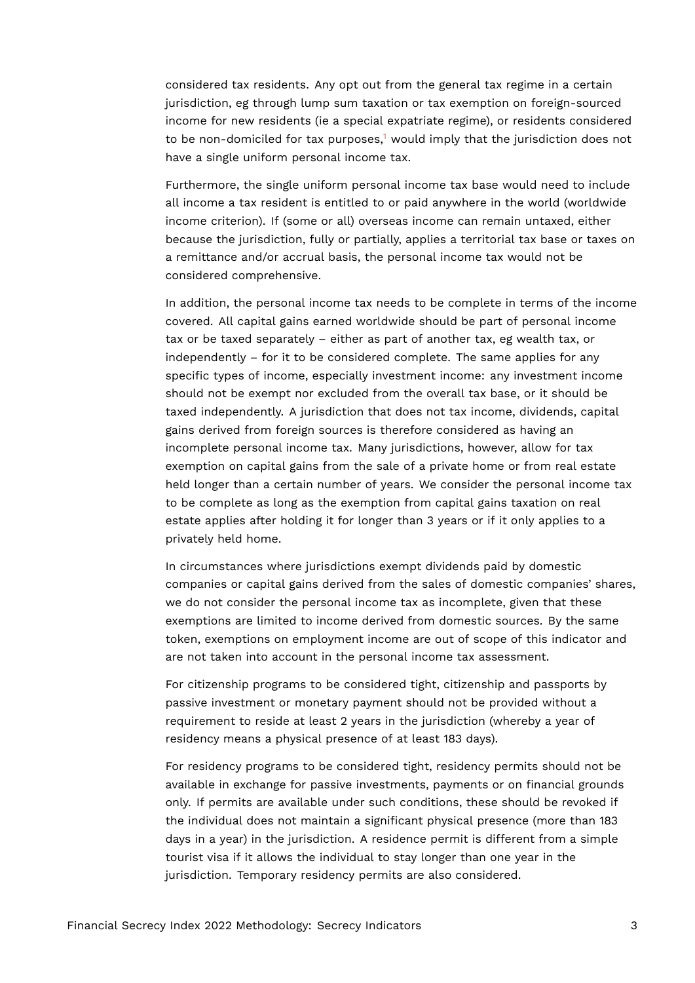considered tax residents. Any opt out from the general tax regime in a certain jurisdiction, eg through lump sum taxation or tax exemption on foreign-sourced income for new residents (ie a special expatriate regime), or residents considered to be non-domiciled for tax purposes, $1$  would imply that the jurisdiction does not have a single uniform personal income tax.

<span id="page-2-0"></span>Furthermore, the single uniform personal income tax base would need to include all income a tax resident is entitled to or paid anywhere in the world (worldwide income criterion). If (some or all) overseas income can remain untaxed, either because the jurisdiction, fully or partially, applies a territorial tax base or taxes on a remittance and/or accrual basis, the personal income tax would not be considered comprehensive.

In addition, the personal income tax needs to be complete in terms of the income covered. All capital gains earned worldwide should be part of personal income tax or be taxed separately – either as part of another tax, eg wealth tax, or independently – for it to be considered complete. The same applies for any specific types of income, especially investment income: any investment income should not be exempt nor excluded from the overall tax base, or it should be taxed independently. A jurisdiction that does not tax income, dividends, capital gains derived from foreign sources is therefore considered as having an incomplete personal income tax. Many jurisdictions, however, allow for tax exemption on capital gains from the sale of a private home or from real estate held longer than a certain number of years. We consider the personal income tax to be complete as long as the exemption from capital gains taxation on real estate applies after holding it for longer than 3 years or if it only applies to a privately held home.

In circumstances where jurisdictions exempt dividends paid by domestic companies or capital gains derived from the sales of domestic companies' shares, we do not consider the personal income tax as incomplete, given that these exemptions are limited to income derived from domestic sources. By the same token, exemptions on employment income are out of scope of this indicator and are not taken into account in the personal income tax assessment.

For citizenship programs to be considered tight, citizenship and passports by passive investment or monetary payment should not be provided without a requirement to reside at least 2 years in the jurisdiction (whereby a year of residency means a physical presence of at least 183 days).

For residency programs to be considered tight, residency permits should not be available in exchange for passive investments, payments or on financial grounds only. If permits are available under such conditions, these should be revoked if the individual does not maintain a significant physical presence (more than 183 days in a year) in the jurisdiction. A residence permit is different from a simple tourist visa if it allows the individual to stay longer than one year in the jurisdiction. Temporary residency permits are also considered.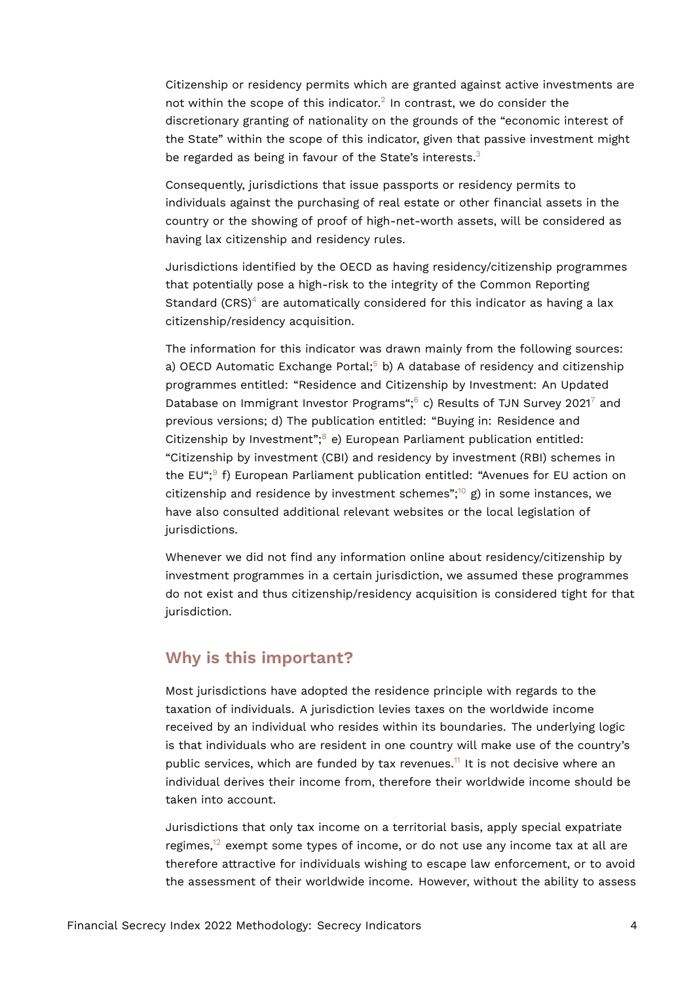<span id="page-3-0"></span>Citizenship or residency permits which are granted against active investments are not within the scope of this indicator.<sup>[2](#page-11-1)</sup> In contrast, we do consider the discretionary granting of nationality on the grounds of the "economic interest of the State" within the scope of this indicator, given that passive investment might be regarded as being in favour of the State's interests.<sup>[3](#page-11-2)</sup>

<span id="page-3-1"></span>Consequently, jurisdictions that issue passports or residency permits to individuals against the purchasing of real estate or other financial assets in the country or the showing of proof of high-net-worth assets, will be considered as having lax citizenship and residency rules.

<span id="page-3-2"></span>Jurisdictions identified by the OECD as having residency/citizenship programmes that potentially pose a high-risk to the integrity of the Common Reporting Standard (CRS)<sup>[4](#page-11-3)</sup> are automatically considered for this indicator as having a lax citizenship/residency acquisition.

<span id="page-3-6"></span><span id="page-3-5"></span><span id="page-3-4"></span><span id="page-3-3"></span>The information for this indicator was drawn mainly from the following sources: a) OECD Automatic Exchange Portal;<sup>[5](#page-11-4)</sup> b) A database of residency and citizenship programmes entitled: "Residence and Citizenship by Investment: An Updated Database on Immigrant Investor Programs"; $6$  c) Results of TJN Survey 2021<sup>[7](#page-11-6)</sup> and previous versions; d) The publication entitled: "Buying in: Residence and Citizenship by Investment"; $8$  e) European Parliament publication entitled: "Citizenship by investment (CBI) and residency by investment (RBI) schemes in the EU";<sup>[9](#page-11-8)</sup> f) European Parliament publication entitled: "Avenues for EU action on citizenship and residence by investment schemes";<sup>[10](#page-11-9)</sup> g) in some instances, we have also consulted additional relevant websites or the local legislation of jurisdictions.

<span id="page-3-8"></span><span id="page-3-7"></span>Whenever we did not find any information online about residency/citizenship by investment programmes in a certain jurisdiction, we assumed these programmes do not exist and thus citizenship/residency acquisition is considered tight for that jurisdiction.

### **Why is this important?**

Most jurisdictions have adopted the residence principle with regards to the taxation of individuals. A jurisdiction levies taxes on the worldwide income received by an individual who resides within its boundaries. The underlying logic is that individuals who are resident in one country will make use of the country's public services, which are funded by tax revenues.<sup>[11](#page-12-0)</sup> It is not decisive where an individual derives their income from, therefore their worldwide income should be taken into account.

<span id="page-3-10"></span><span id="page-3-9"></span>Jurisdictions that only tax income on a territorial basis, apply special expatriate regimes, $12$  exempt some types of income, or do not use any income tax at all are therefore attractive for individuals wishing to escape law enforcement, or to avoid the assessment of their worldwide income. However, without the ability to assess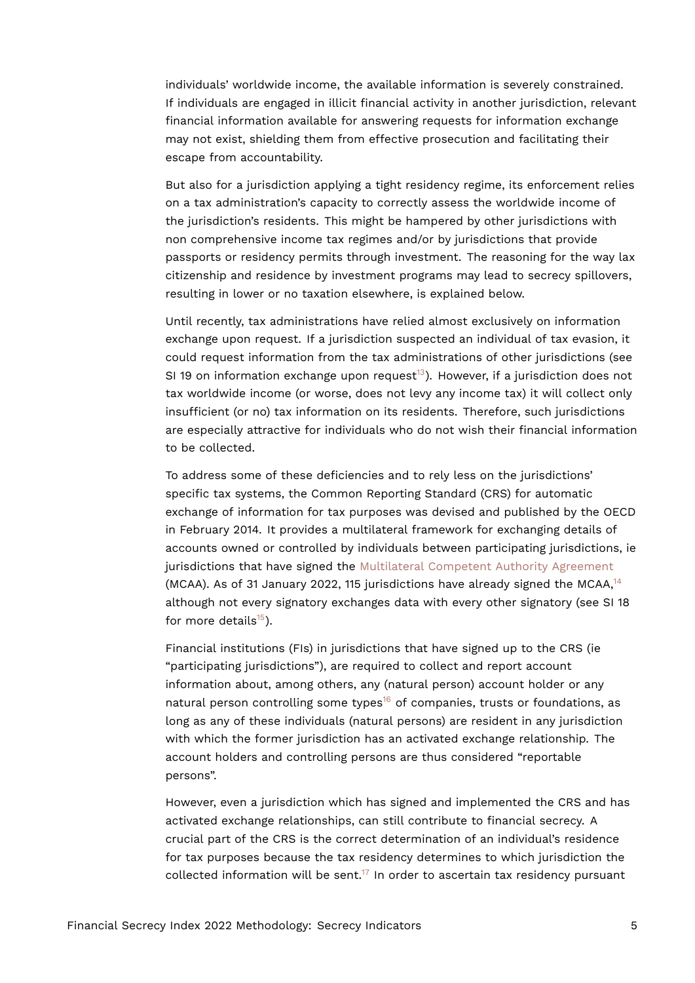individuals' worldwide income, the available information is severely constrained. If individuals are engaged in illicit financial activity in another jurisdiction, relevant financial information available for answering requests for information exchange may not exist, shielding them from effective prosecution and facilitating their escape from accountability.

But also for a jurisdiction applying a tight residency regime, its enforcement relies on a tax administration's capacity to correctly assess the worldwide income of the jurisdiction's residents. This might be hampered by other jurisdictions with non comprehensive income tax regimes and/or by jurisdictions that provide passports or residency permits through investment. The reasoning for the way lax citizenship and residence by investment programs may lead to secrecy spillovers, resulting in lower or no taxation elsewhere, is explained below.

<span id="page-4-0"></span>Until recently, tax administrations have relied almost exclusively on information exchange upon request. If a jurisdiction suspected an individual of tax evasion, it could request information from the tax administrations of other jurisdictions (see SI 19 on information exchange upon request<sup>[13](#page-12-2)</sup>). However, if a jurisdiction does not tax worldwide income (or worse, does not levy any income tax) it will collect only insufficient (or no) tax information on its residents. Therefore, such jurisdictions are especially attractive for individuals who do not wish their financial information to be collected.

To address some of these deficiencies and to rely less on the jurisdictions' specific tax systems, the Common Reporting Standard (CRS) for automatic exchange of information for tax purposes was devised and published by the OECD in February 2014. It provides a multilateral framework for exchanging details of accounts owned or controlled by individuals between participating jurisdictions, ie jurisdictions that have signed the [Multilateral Competent Authority Agreement](http://www.oecd.org/tax/automatic-exchange/international-framework-for-the-crs/) (MCAA). As of 31 January 2022, 115 jurisdictions have already signed the MCAA, $14$ although not every signatory exchanges data with every other signatory (see SI 18 for more details $^{15}$  $^{15}$  $^{15}$ ).

<span id="page-4-3"></span><span id="page-4-2"></span><span id="page-4-1"></span>Financial institutions (FIs) in jurisdictions that have signed up to the CRS (ie "participating jurisdictions"), are required to collect and report account information about, among others, any (natural person) account holder or any natural person controlling some types<sup>[16](#page-12-5)</sup> of companies, trusts or foundations, as long as any of these individuals (natural persons) are resident in any jurisdiction with which the former jurisdiction has an activated exchange relationship. The account holders and controlling persons are thus considered "reportable persons".

<span id="page-4-4"></span>However, even a jurisdiction which has signed and implemented the CRS and has activated exchange relationships, can still contribute to financial secrecy. A crucial part of the CRS is the correct determination of an individual's residence for tax purposes because the tax residency determines to which jurisdiction the collected information will be sent.<sup>[17](#page-12-6)</sup> In order to ascertain tax residency pursuant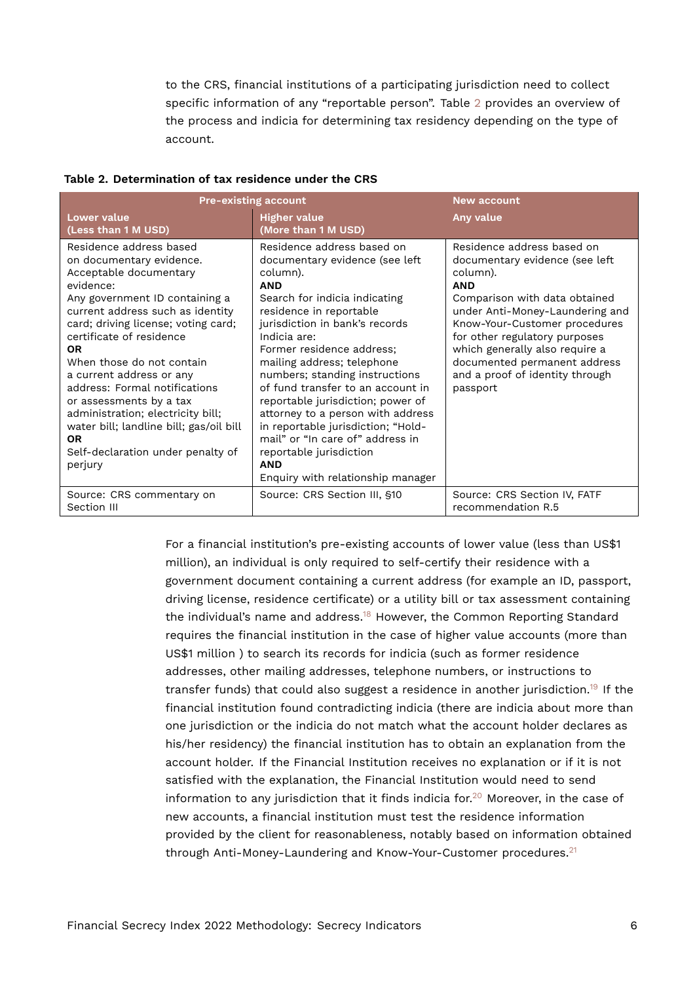<span id="page-5-0"></span>to the CRS, financial institutions of a participating jurisdiction need to collect specific information of any "reportable person". Table [2](#page-5-0) provides an overview of the process and indicia for determining tax residency depending on the type of account.

| <b>Pre-existing account</b>                                                                                                                                                                                                                                                                                                                                                                                                                                                                                        |                                                                                                                                                                                                                                                                                                                                                                                                                                                                                                                                                                          | New account                                                                                                                                                                                                                                                                                                                                   |
|--------------------------------------------------------------------------------------------------------------------------------------------------------------------------------------------------------------------------------------------------------------------------------------------------------------------------------------------------------------------------------------------------------------------------------------------------------------------------------------------------------------------|--------------------------------------------------------------------------------------------------------------------------------------------------------------------------------------------------------------------------------------------------------------------------------------------------------------------------------------------------------------------------------------------------------------------------------------------------------------------------------------------------------------------------------------------------------------------------|-----------------------------------------------------------------------------------------------------------------------------------------------------------------------------------------------------------------------------------------------------------------------------------------------------------------------------------------------|
| <b>Lower value</b><br>(Less than 1 M USD)                                                                                                                                                                                                                                                                                                                                                                                                                                                                          | <b>Higher value</b><br>(More than 1 M USD)                                                                                                                                                                                                                                                                                                                                                                                                                                                                                                                               | Any value                                                                                                                                                                                                                                                                                                                                     |
| Residence address based<br>on documentary evidence.<br>Acceptable documentary<br>evidence:<br>Any government ID containing a<br>current address such as identity<br>card; driving license; voting card;<br>certificate of residence<br><b>OR</b><br>When those do not contain<br>a current address or any<br>address: Formal notifications<br>or assessments by a tax<br>administration; electricity bill;<br>water bill; landline bill; gas/oil bill<br><b>OR</b><br>Self-declaration under penalty of<br>perjury | Residence address based on<br>documentary evidence (see left<br>column).<br><b>AND</b><br>Search for indicia indicating<br>residence in reportable<br>jurisdiction in bank's records<br>Indicia are:<br>Former residence address;<br>mailing address; telephone<br>numbers; standing instructions<br>of fund transfer to an account in<br>reportable jurisdiction; power of<br>attorney to a person with address<br>in reportable jurisdiction; "Hold-<br>mail" or "In care of" address in<br>reportable jurisdiction<br><b>AND</b><br>Enquiry with relationship manager | Residence address based on<br>documentary evidence (see left<br>column).<br><b>AND</b><br>Comparison with data obtained<br>under Anti-Money-Laundering and<br>Know-Your-Customer procedures<br>for other regulatory purposes<br>which generally also require a<br>documented permanent address<br>and a proof of identity through<br>passport |
| Source: CRS commentary on<br>Section III                                                                                                                                                                                                                                                                                                                                                                                                                                                                           | Source: CRS Section III, §10                                                                                                                                                                                                                                                                                                                                                                                                                                                                                                                                             | Source: CRS Section IV, FATF<br>recommendation R.5                                                                                                                                                                                                                                                                                            |

#### **Table 2. Determination of tax residence under the CRS**

<span id="page-5-4"></span><span id="page-5-3"></span><span id="page-5-2"></span><span id="page-5-1"></span>For a financial institution's pre-existing accounts of lower value (less than US\$1 million), an individual is only required to self-certify their residence with a government document containing a current address (for example an ID, passport, driving license, residence certificate) or a utility bill or tax assessment containing the individual's name and address.<sup>[18](#page-12-7)</sup> However, the Common Reporting Standard requires the financial institution in the case of higher value accounts (more than US\$1 million ) to search its records for indicia (such as former residence addresses, other mailing addresses, telephone numbers, or instructions to transfer funds) that could also suggest a residence in another jurisdiction.[19](#page-12-8) If the financial institution found contradicting indicia (there are indicia about more than one jurisdiction or the indicia do not match what the account holder declares as his/her residency) the financial institution has to obtain an explanation from the account holder. If the Financial Institution receives no explanation or if it is not satisfied with the explanation, the Financial Institution would need to send information to any jurisdiction that it finds indicia for.<sup>[20](#page-12-9)</sup> Moreover, in the case of new accounts, a financial institution must test the residence information provided by the client for reasonableness, notably based on information obtained through Anti-Money-Laundering and Know-Your-Customer procedures.<sup>[21](#page-13-0)</sup>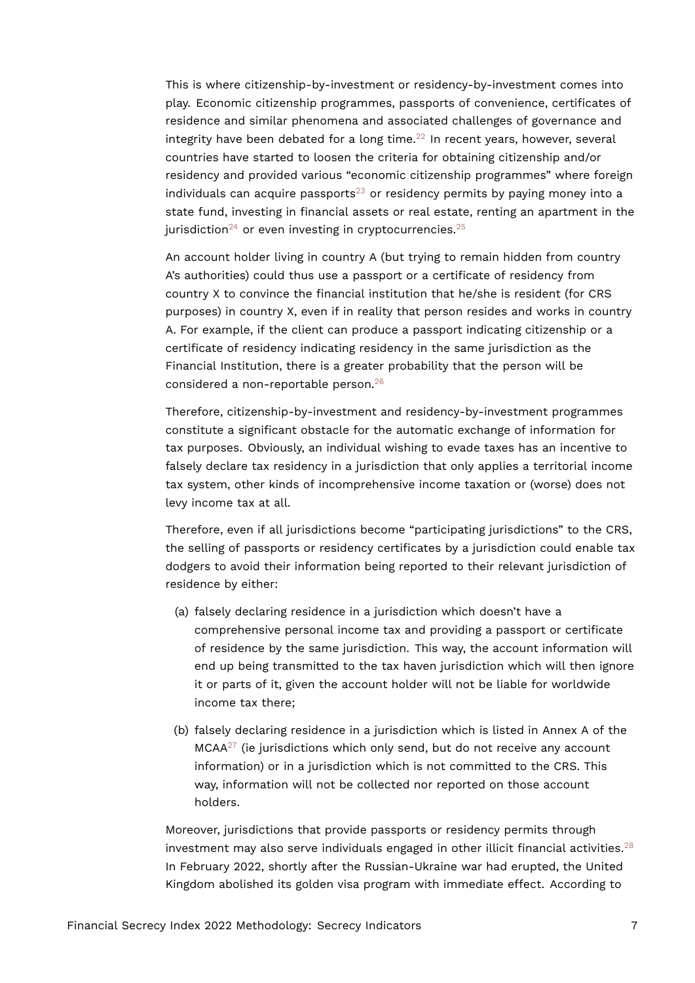<span id="page-6-0"></span>This is where citizenship-by-investment or residency-by-investment comes into play. Economic citizenship programmes, passports of convenience, certificates of residence and similar phenomena and associated challenges of governance and integrity have been debated for a long time. $2<sup>2</sup>$  In recent years, however, several countries have started to loosen the criteria for obtaining citizenship and/or residency and provided various "economic citizenship programmes" where foreign individuals can acquire passports<sup>[23](#page-13-2)</sup> or residency permits by paying money into a state fund, investing in financial assets or real estate, renting an apartment in the jurisdiction<sup>[24](#page-13-3)</sup> or even investing in cryptocurrencies.<sup>[25](#page-13-4)</sup>

<span id="page-6-3"></span><span id="page-6-2"></span><span id="page-6-1"></span>An account holder living in country A (but trying to remain hidden from country A's authorities) could thus use a passport or a certificate of residency from country X to convince the financial institution that he/she is resident (for CRS purposes) in country X, even if in reality that person resides and works in country A. For example, if the client can produce a passport indicating citizenship or a certificate of residency indicating residency in the same jurisdiction as the Financial Institution, there is a greater probability that the person will be considered a non-reportable person.[26](#page-13-5)

<span id="page-6-4"></span>Therefore, citizenship-by-investment and residency-by-investment programmes constitute a significant obstacle for the automatic exchange of information for tax purposes. Obviously, an individual wishing to evade taxes has an incentive to falsely declare tax residency in a jurisdiction that only applies a territorial income tax system, other kinds of incomprehensive income taxation or (worse) does not levy income tax at all.

Therefore, even if all jurisdictions become "participating jurisdictions" to the CRS, the selling of passports or residency certificates by a jurisdiction could enable tax dodgers to avoid their information being reported to their relevant jurisdiction of residence by either:

- (a) falsely declaring residence in a jurisdiction which doesn't have a comprehensive personal income tax and providing a passport or certificate of residence by the same jurisdiction. This way, the account information will end up being transmitted to the tax haven jurisdiction which will then ignore it or parts of it, given the account holder will not be liable for worldwide income tax there;
- <span id="page-6-5"></span>(b) falsely declaring residence in a jurisdiction which is listed in Annex A of the  $MCAA^{27}$  $MCAA^{27}$  $MCAA^{27}$  (ie jurisdictions which only send, but do not receive any account information) or in a jurisdiction which is not committed to the CRS. This way, information will not be collected nor reported on those account holders.

<span id="page-6-6"></span>Moreover, jurisdictions that provide passports or residency permits through investment may also serve individuals engaged in other illicit financial activities.<sup>[28](#page-13-7)</sup> In February 2022, shortly after the Russian-Ukraine war had erupted, the United Kingdom abolished its golden visa program with immediate effect. According to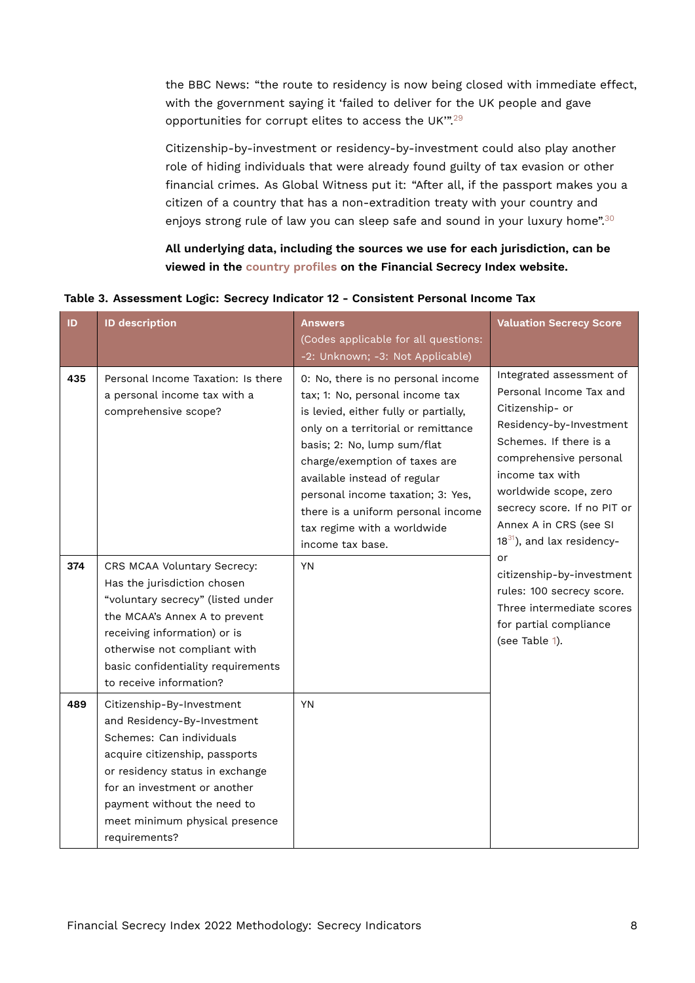the BBC News: "the route to residency is now being closed with immediate effect, with the government saying it 'failed to deliver for the UK people and gave opportunities for corrupt elites to access the UK'".[29](#page-13-8)

<span id="page-7-1"></span>Citizenship-by-investment or residency-by-investment could also play another role of hiding individuals that were already found guilty of tax evasion or other financial crimes. As Global Witness put it: "After all, if the passport makes you a citizen of a country that has a non-extradition treaty with your country and enjoys strong rule of law you can sleep safe and sound in your luxury home".<sup>[30](#page-13-9)</sup>

<span id="page-7-3"></span><span id="page-7-2"></span><span id="page-7-0"></span>**All underlying data, including the sources we use for each jurisdiction, can be viewed in the [country profiles](https://fsi.taxjustice.net/country-detail) on the Financial Secrecy Index website.**

| ID  | <b>ID description</b>                                                                                                                                                                                                                                                       | <b>Answers</b><br>(Codes applicable for all questions:                                                                                                                                                                                                                                                                                                                              | <b>Valuation Secrecy Score</b>                                                                                                                                                                                                                                                                |
|-----|-----------------------------------------------------------------------------------------------------------------------------------------------------------------------------------------------------------------------------------------------------------------------------|-------------------------------------------------------------------------------------------------------------------------------------------------------------------------------------------------------------------------------------------------------------------------------------------------------------------------------------------------------------------------------------|-----------------------------------------------------------------------------------------------------------------------------------------------------------------------------------------------------------------------------------------------------------------------------------------------|
|     |                                                                                                                                                                                                                                                                             | -2: Unknown; -3: Not Applicable)                                                                                                                                                                                                                                                                                                                                                    |                                                                                                                                                                                                                                                                                               |
| 435 | Personal Income Taxation: Is there<br>a personal income tax with a<br>comprehensive scope?                                                                                                                                                                                  | 0: No, there is no personal income<br>tax; 1: No, personal income tax<br>is levied, either fully or partially,<br>only on a territorial or remittance<br>basis; 2: No, lump sum/flat<br>charge/exemption of taxes are<br>available instead of regular<br>personal income taxation; 3: Yes,<br>there is a uniform personal income<br>tax regime with a worldwide<br>income tax base. | Integrated assessment of<br>Personal Income Tax and<br>Citizenship- or<br>Residency-by-Investment<br>Schemes. If there is a<br>comprehensive personal<br>income tax with<br>worldwide scope, zero<br>secrecy score. If no PIT or<br>Annex A in CRS (see SI<br>$18^{31}$ ), and lax residency- |
| 374 | CRS MCAA Voluntary Secrecy:<br>Has the jurisdiction chosen<br>"voluntary secrecy" (listed under<br>the MCAA's Annex A to prevent<br>receiving information) or is<br>otherwise not compliant with<br>basic confidentiality requirements<br>to receive information?           | YN                                                                                                                                                                                                                                                                                                                                                                                  | or<br>citizenship-by-investment<br>rules: 100 secrecy score.<br>Three intermediate scores<br>for partial compliance<br>(see Table 1).                                                                                                                                                         |
| 489 | Citizenship-By-Investment<br>and Residency-By-Investment<br>Schemes: Can individuals<br>acquire citizenship, passports<br>or residency status in exchange<br>for an investment or another<br>payment without the need to<br>meet minimum physical presence<br>requirements? | <b>YN</b>                                                                                                                                                                                                                                                                                                                                                                           |                                                                                                                                                                                                                                                                                               |

**Table 3. Assessment Logic: Secrecy Indicator 12 - Consistent Personal Income Tax**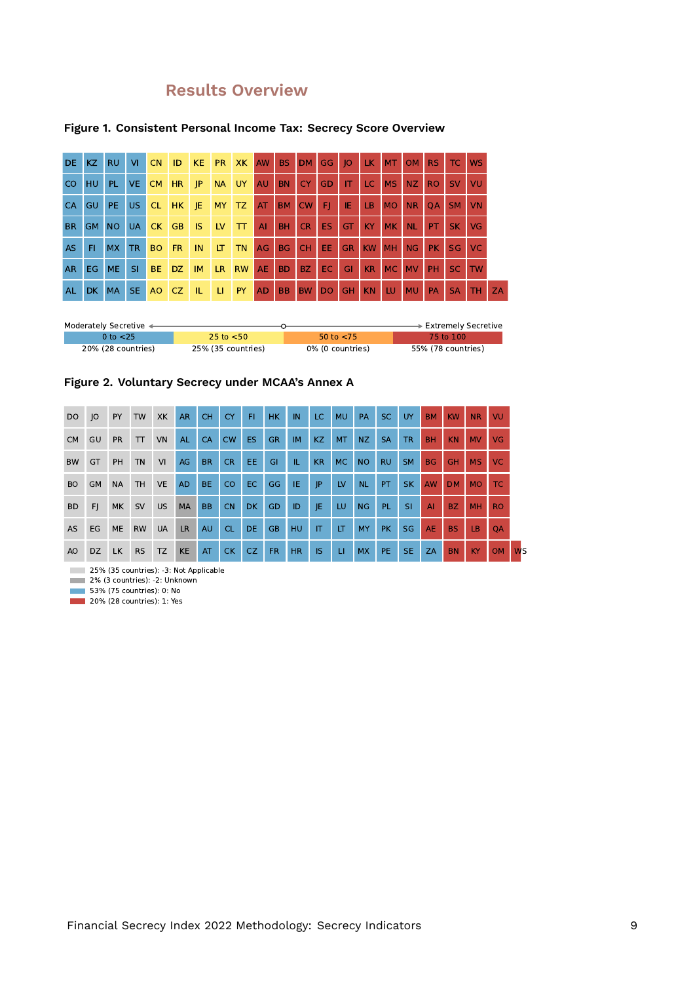# **Results Overview**

| DE.           | KZ.       | <b>RU</b> | VI.       | CN        | ID        | KE.       | <b>PR</b>               | XK                 | AW           | <b>BS</b> | DM        | GG.            | 0         | LK.       | <b>MT</b> | <b>OM</b> | RS.       | TC.       | <b>WS</b> |           |
|---------------|-----------|-----------|-----------|-----------|-----------|-----------|-------------------------|--------------------|--------------|-----------|-----------|----------------|-----------|-----------|-----------|-----------|-----------|-----------|-----------|-----------|
| <sub>co</sub> | HU        | PL.       | VE.       | <b>CM</b> | <b>HR</b> | P         | <b>NA</b>               | UY                 | <b>AU</b>    | <b>BN</b> | <b>CY</b> | <b>GD</b>      | IT        | LC.       | <b>MS</b> | <b>NZ</b> | <b>RO</b> | <b>SV</b> | VU        |           |
| <b>CA</b>     | <b>GU</b> | PE.       | US.       | <b>CL</b> | HK.       | JE.       | MY.                     | TZ                 | AT           | BM        | <b>CW</b> | FI.            | IE        | <b>LB</b> | <b>MO</b> | <b>NR</b> | <b>OA</b> | SM.       | <b>VN</b> |           |
| <b>BR</b>     | GM        | <b>NO</b> | <b>UA</b> | CK        | GB.       | <b>IS</b> | $\mathsf{L} \mathsf{V}$ | $\boldsymbol{\pi}$ | $\mathsf{A}$ | <b>BH</b> | CR.       | ES.            | <b>GT</b> | <b>KY</b> | <b>MK</b> | <b>NL</b> | PT.       | SK.       | <b>VG</b> |           |
| AS.           | FI.       | MX        | <b>TR</b> | <b>BO</b> | <b>FR</b> | IN        | LT.                     | <b>TN</b>          | AG           | <b>BG</b> | <b>CH</b> | EE.            | <b>GR</b> | <b>KW</b> | <b>MH</b> | <b>NG</b> | PK.       | <b>SG</b> | <b>VC</b> |           |
| AR.           | EG.       | <b>ME</b> | <b>SI</b> | <b>BE</b> | DZ.       | IM.       | LR.                     | <b>RW</b>          | <b>AE</b>    | <b>BD</b> | <b>BZ</b> | EC.            | GI        | KR        | <b>MC</b> | <b>MV</b> | PH        | SC.       | <b>TW</b> |           |
| <b>AL</b>     | DK.       | <b>MA</b> | SE.       | AO.       | CZ.       | TL.       | -LI                     | PY.                | <b>AD</b>    | <b>BB</b> | <b>BW</b> | D <sub>O</sub> | <b>GH</b> | <b>KN</b> | LU.       | <b>MU</b> | PA        | <b>SA</b> | TH.       | <b>ZA</b> |

#### **Figure 1. Consistent Personal Income Tax: Secrecy Score Overview**

| Moderately Secretive ← |                    |                  | $\blacktriangleright$ Extremely Secretive |
|------------------------|--------------------|------------------|-------------------------------------------|
| 0 to $<$ 25            | 25 to $<$ 50       | 50 to $<$ 75     | 75 to 100.                                |
| 20% (28 countries)     | 25% (35 countries) | 0% (0 countries) | 55% (78 countries)                        |

#### **Figure 2. Voluntary Secrecy under MCAA's Annex A**

| <b>DO</b> | O         | PY        | <b>TW</b> | XK        | <b>AR</b> | <b>CH</b> | <b>CY</b> | F1        | <b>HK</b> | IN        | LC.       | <b>MU</b> | PA        | SC.       | <b>UY</b> | <b>BM</b> | <b>KW</b> | <b>NR</b> | VU        |                      |
|-----------|-----------|-----------|-----------|-----------|-----------|-----------|-----------|-----------|-----------|-----------|-----------|-----------|-----------|-----------|-----------|-----------|-----------|-----------|-----------|----------------------|
| <b>CM</b> | GU        | <b>PR</b> | T         | VN        | <b>AL</b> | <b>CA</b> | <b>CW</b> | <b>ES</b> | <b>GR</b> | <b>IM</b> | KZ        | <b>MT</b> | NZ.       | <b>SA</b> | TR.       | <b>BH</b> | <b>KN</b> | <b>MV</b> | VG.       |                      |
| <b>BW</b> | GT        | PH        | <b>TN</b> | VI        | AG        | <b>BR</b> | <b>CR</b> | EE.       | <b>GI</b> | TL.       | <b>KR</b> | <b>MC</b> | <b>NO</b> | <b>RU</b> | <b>SM</b> | <b>BG</b> | <b>GH</b> | <b>MS</b> | VC.       |                      |
| <b>BO</b> | <b>GM</b> | <b>NA</b> | <b>TH</b> | <b>VE</b> | <b>AD</b> | BE.       | CO        | EC.       | GG        | IE.       | P         | LV        | <b>NL</b> | PT.       | SK.       | <b>AW</b> | <b>DM</b> | <b>MO</b> | TC.       |                      |
| <b>BD</b> | FI.       | MK        | <b>SV</b> | <b>US</b> | <b>MA</b> | <b>BB</b> | <b>CN</b> | <b>DK</b> | GD        | ID        | JE.       | LU        | <b>NG</b> | PL.       | <b>SI</b> | AI        | BZ.       | <b>MH</b> | <b>RO</b> |                      |
| <b>AS</b> | EG        | ME        | <b>RW</b> | <b>UA</b> | <b>LR</b> | <b>AU</b> | <b>CL</b> | DE.       | <b>GB</b> | HU        | IT        | LT        | <b>MY</b> | <b>PK</b> | <b>SG</b> | <b>AE</b> | <b>BS</b> | LB.       | <b>OA</b> |                      |
| AO        | DZ.       | LK.       | <b>RS</b> | <b>TZ</b> | <b>KE</b> | AT        | <b>CK</b> | CZ.       | FR.       | HR.       | <b>IS</b> | $\sqcup$  | <b>MX</b> | PE.       | SE.       | ZA        | <b>BN</b> | KY.       | <b>OM</b> | <b>W<sub>S</sub></b> |

25% (35 countries): -3: Not Applicable

2% (3 countries): -2: Unknown

53% (75 countries): 0: No

**20%** (28 countries): 1: Yes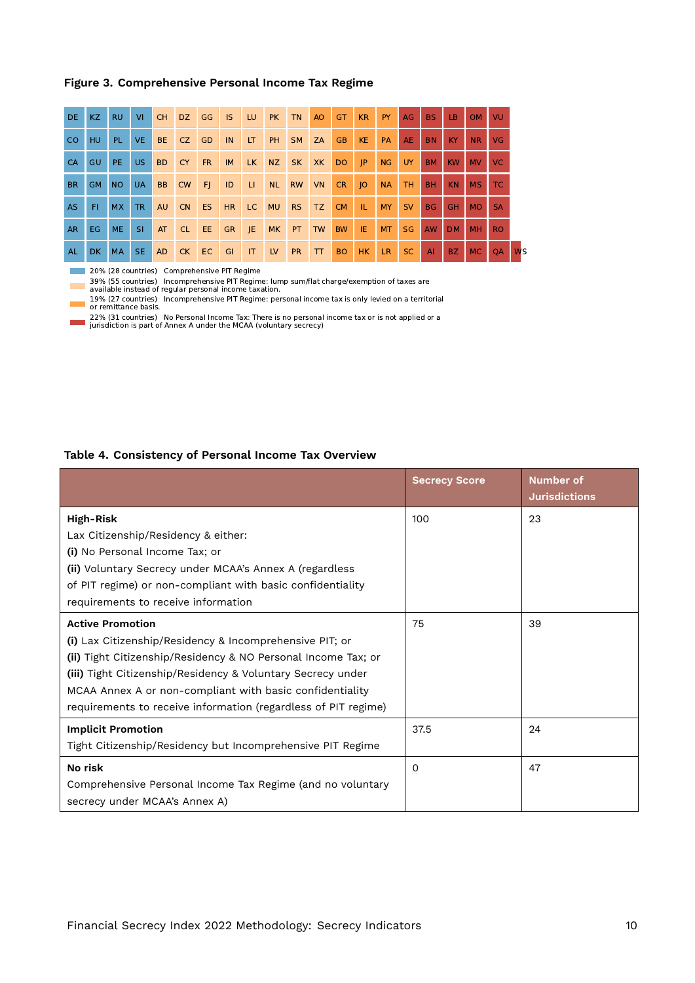#### **Figure 3. Comprehensive Personal Income Tax Regime**

| DE.       | KZ        | <b>RU</b> | <b>VI</b> | CH        | DZ        | GG IS     |           | LU. | <b>PK</b> | TN        | AO     | <b>GT</b> | <b>KR</b>       | <b>PY</b> | AG        | <b>BS</b> | LB.       | OM             | VU        |           |
|-----------|-----------|-----------|-----------|-----------|-----------|-----------|-----------|-----|-----------|-----------|--------|-----------|-----------------|-----------|-----------|-----------|-----------|----------------|-----------|-----------|
| CO.       | HU.       | PL.       | VE.       | <b>BE</b> | CZ        | <b>GD</b> | IN        | LT. | PH        | <b>SM</b> | ZA     | <b>GB</b> | <b>KE</b>       | <b>PA</b> | AE.       | <b>BN</b> | KY.       | N <sub>R</sub> | VG.       |           |
| <b>CA</b> | <b>GU</b> | PE.       | US.       | <b>BD</b> | <b>CY</b> | <b>FR</b> | <b>IM</b> | LK. | <b>NZ</b> | <b>SK</b> | XK     | <b>DO</b> | P               | NG        | UY.       | <b>BM</b> | <b>KW</b> | <b>MV</b>      | VC.       |           |
| <b>BR</b> | <b>GM</b> | <b>NO</b> | <b>UA</b> | <b>BB</b> | <b>CW</b> | -FJ       | ID        | LI. | <b>NL</b> | <b>RW</b> | VN     | CR.       | $\overline{10}$ | <b>NA</b> | TH.       | <b>BH</b> | KN.       | <b>MS</b>      | TC.       |           |
| AS.       | FI.       | MX        | TR.       | <b>AU</b> | <b>CN</b> | ES        | <b>HR</b> | LC. | <b>MU</b> | <b>RS</b> | TZ     | <b>CM</b> | TL.             | MY.       | <b>SV</b> | <b>BG</b> | <b>GH</b> | MO.            | <b>SA</b> |           |
| <b>AR</b> | EG.       | <b>ME</b> | <b>SI</b> | AT        | CL        | EE 1      | <b>GR</b> | JE. | <b>MK</b> | PT        | TW     | <b>BW</b> | IE              | <b>MT</b> | <b>SG</b> | AW        | <b>DM</b> | <b>MH</b>      | <b>RO</b> |           |
| <b>AL</b> | DK.       | <b>MA</b> | SE.       | <b>AD</b> | $C$ K     | EC        | GI        | IT. | LV        | <b>PR</b> | $\top$ | <b>BO</b> | HK              | LR.       | SC.       | AI        | BZ.       | <b>MC</b>      | <b>OA</b> | <b>WS</b> |

20% (28 countries) Comprehensive PIT Regime

39% (55 countries) Incomprehensive PIT Regime: lump sum/flat charge/exemption of taxes are available instead of regular personal income taxation.

19% (27 countries) Incomprehensive PIT Regime: personal income tax is only levied on a territorial or remittance basis.

22% (31 countries) No Personal Income Tax: There is no personal income tax or is not applied or a jurisdiction is part of Annex A under the MCAA (voluntary secrecy)

#### **Table 4. Consistency of Personal Income Tax Overview**

|                                                                | <b>Secrecy Score</b> | <b>Number of</b><br><b>Jurisdictions</b> |
|----------------------------------------------------------------|----------------------|------------------------------------------|
| High-Risk                                                      | 100                  | 23                                       |
| Lax Citizenship/Residency & either:                            |                      |                                          |
| (i) No Personal Income Tax; or                                 |                      |                                          |
| (ii) Voluntary Secrecy under MCAA's Annex A (regardless        |                      |                                          |
| of PIT regime) or non-compliant with basic confidentiality     |                      |                                          |
| requirements to receive information                            |                      |                                          |
| <b>Active Promotion</b>                                        | 75                   | 39                                       |
| (i) Lax Citizenship/Residency & Incomprehensive PIT; or        |                      |                                          |
| (ii) Tight Citizenship/Residency & NO Personal Income Tax; or  |                      |                                          |
| (iii) Tight Citizenship/Residency & Voluntary Secrecy under    |                      |                                          |
| MCAA Annex A or non-compliant with basic confidentiality       |                      |                                          |
| requirements to receive information (regardless of PIT regime) |                      |                                          |
| <b>Implicit Promotion</b>                                      | 37.5                 | 24                                       |
| Tight Citizenship/Residency but Incomprehensive PIT Regime     |                      |                                          |
| No risk                                                        | $\Omega$             | 47                                       |
| Comprehensive Personal Income Tax Regime (and no voluntary     |                      |                                          |
| secrecy under MCAA's Annex A)                                  |                      |                                          |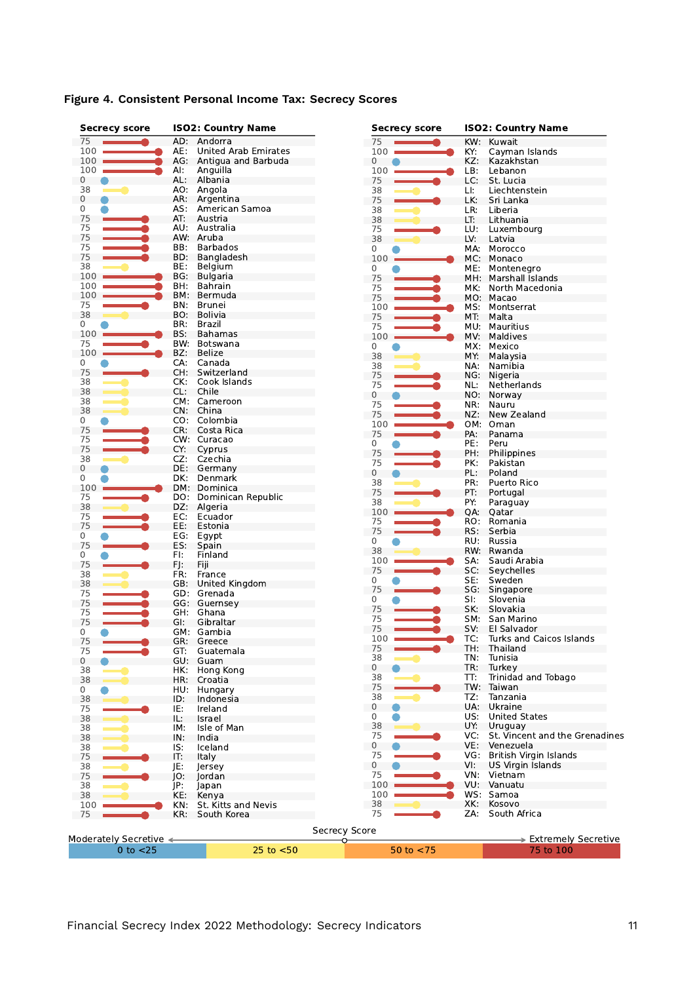| <b>Secrecy score</b>   |     | <b>ISO2: Country Name</b> | <b>Secrecy score</b> |     | <b>ISO2: Country Name</b>      |
|------------------------|-----|---------------------------|----------------------|-----|--------------------------------|
| 75                     | AD: | Andorra                   | 75                   | KW: | Kuwait                         |
| 100                    | AE: | United Arab Emirates      | 100                  | KY: | Cayman Islands                 |
| 100                    | AG: | Antigua and Barbuda       | 0                    | KZ: | Kazakhstan                     |
| 100                    | Al: | Anguilla                  | 100                  | LB: | Lebanon                        |
| 0                      | AL: | Albania                   | 75                   | LC: | St. Lucia                      |
| 38                     | AO: | Angola                    | 38                   | LI: | Liechtenstein                  |
| $\mathbf{0}$<br>0      | AR: | Argentina                 | 75                   | LK: | Sri Lanka                      |
|                        | AS: | American Samoa            | 38                   | LR: | Liberia                        |
| 75                     | AT: | Austria                   | 38                   | LT: | Lithuania                      |
| 75                     | AU: | Australia                 | 75                   | LU: | Luxembourg                     |
| 75                     |     | AW: Aruba                 | 38                   | LV: | Latvia                         |
| 75                     | BB: | <b>Barbados</b>           | 0                    | MA: | Morocco                        |
| 75                     | BD: | Bangladesh                | 100                  | MC: | Monaco                         |
| 38                     | BE: | Belgium                   | 0                    | ME: | Montenegro                     |
| 100                    | BG: | <b>Bulgaria</b>           | 75                   | MH. | Marshall Islands               |
| 100                    | BH: | <b>Bahrain</b>            | 75                   | MK: | North Macedonia                |
| 100                    | BM: | Bermuda                   | 75                   | MO: | Macao                          |
| 75                     | BN: | Brunei                    | 100                  | MS: | Montserrat                     |
| 38                     | BO. | <b>Bolivia</b>            | 75                   | MT. | Malta                          |
| 0                      | BR: | Brazil                    | 75                   | MU: | Mauritius                      |
| 100                    | BS: | <b>Bahamas</b>            | 100                  | MV: | Maldives                       |
| 75                     | BW: | Botswana                  | 0                    | MX: | Mexico                         |
| 100                    | BZ: | <b>Belize</b>             | 38                   | MY: | Malaysia                       |
| 0                      | CA: | Canada                    | 38                   | NA. | Namibia                        |
| 75                     |     | CH: Switzerland           | 75                   | NG: | Nigeria                        |
| 38                     | CK: | Cook Islands              | 75                   | NL: | Netherlands                    |
| 38                     | CL: | Chile                     | 0                    | NO: | Norway                         |
| 38                     |     | CM: Cameroon              | 75                   | NR: | Nauru                          |
| 38                     | CN: | China                     | 75                   | NZ: | New Zealand                    |
| 0                      | CO: | Colombia                  | 100                  | OM: | Oman                           |
| 75                     | CR: | Costa Rica                | 75                   | PA: | Panama                         |
| 75                     |     | CW: Curacao               | 0                    | PE: | Peru                           |
| 75                     | CY: | Cyprus                    | 75                   |     |                                |
| 38                     | CZ: | Czechia                   |                      | PH: | Philippines                    |
| 0                      | DE: | Germany                   | 75                   | PK: | Pakistan                       |
| 0                      | DK: | Denmark                   | 0                    | PL: | Poland                         |
| 100                    | DM: | Dominica                  | 38                   | PR: | Puerto Rico                    |
| 75                     | DO: | Dominican Republic        | 75                   | PT: | Portugal                       |
| 38                     | DZ: | Algeria                   | 38                   | PY: | Paraguay                       |
| 75                     | EC: | Ecuador                   | 100                  | QA: | Qatar                          |
| 75                     | EE: | Estonia                   | 75                   | RO. | Romania                        |
| 0                      | EG: | Egypt                     | 75                   | RS: | Serbia                         |
| 75                     | ES: | Spain                     | 0                    | RU: | Russia                         |
| 0                      | FI: | Finland                   | 38                   | RW: | Rwanda                         |
| 75                     | FJ: | Fiji                      | 100                  | SA: | Saudi Arabia                   |
| 38                     | FR: | France                    | 75                   | SC: | Seychelles                     |
| 38                     | GB: | <b>United Kingdom</b>     | 0                    | SE: | Sweden                         |
| 75                     |     | GD: Grenada               | 75                   | SG: | Singapore                      |
| 75                     | GG: | Guernsey                  | 0                    | SI: | Slovenia                       |
| 75                     | GH. | Ghana                     | 75                   | SK: | Slovakia                       |
| 75                     | GI. | Gibraltar                 | 75                   | SM: | San Marino                     |
| 0                      |     | GM: Gambia                | 75                   | SV: | El Salvador                    |
| 75                     |     | GR: Greece                | 100                  | TC: | Turks and Caicos Islands       |
| 75                     |     |                           | 75                   | TH: | Thailand                       |
|                        | GT: | Guatemala                 | 38                   | TN: | Tunisia                        |
| $\mathbf 0$            |     | GU: Guam                  | $\mathbf 0$          | TR: | Turkey                         |
| 38                     | HK: | Hong Kong                 | 38                   | TT: | Trinidad and Tobago            |
| 38                     | HR: | Croatia                   | 75                   |     | TW: Taiwan                     |
| 0                      | HU: | Hungary                   | 38                   | TZ: | Tanzania                       |
| 38                     | ID: | Indonesia                 | 0                    | UA: | Ukraine                        |
| 75                     | IE: | Ireland                   | 0                    | US: | <b>United States</b>           |
| 38                     | IL: | Israel                    | 38                   | UY: | Uruguay                        |
| 38                     | IM: | Isle of Man               | 75                   | VC: | St. Vincent and the Grenadines |
| 38                     | IN: | India                     |                      |     |                                |
| 38                     | IS: | Iceland                   | $\mathbf{0}$         | VE: | Venezuela                      |
| 75                     | IT: | Italy                     | 75                   | VG: | British Virgin Islands         |
| 38                     | JE: | Jersey                    | $\overline{0}$       | VI: | <b>US Virgin Islands</b>       |
| 75                     | JO: | lordan                    | 75                   |     | VN: Vietnam                    |
| 38                     | JP: | Japan                     | 100                  |     | VU: Vanuatu                    |
| 38                     | KE: | Kenya                     | 100                  |     | WS: Samoa                      |
| 100                    | KN: | St. Kitts and Nevis       | 38                   | XK: | Kosovo                         |
| 75                     | KR: | South Korea               | 75                   | ZA: | South Africa                   |
|                        |     |                           |                      |     |                                |
|                        |     |                           | <b>Secrecy Score</b> |     |                                |
| Moderately Secretive < |     |                           |                      |     | > Extremely Secretive          |
| $0$ to $<$ 25          |     | $25$ to $< 50$            | 50 to $<$ 75         |     | 75 to 100                      |

# **Figure 4. Consistent Personal Income Tax: Secrecy Scores**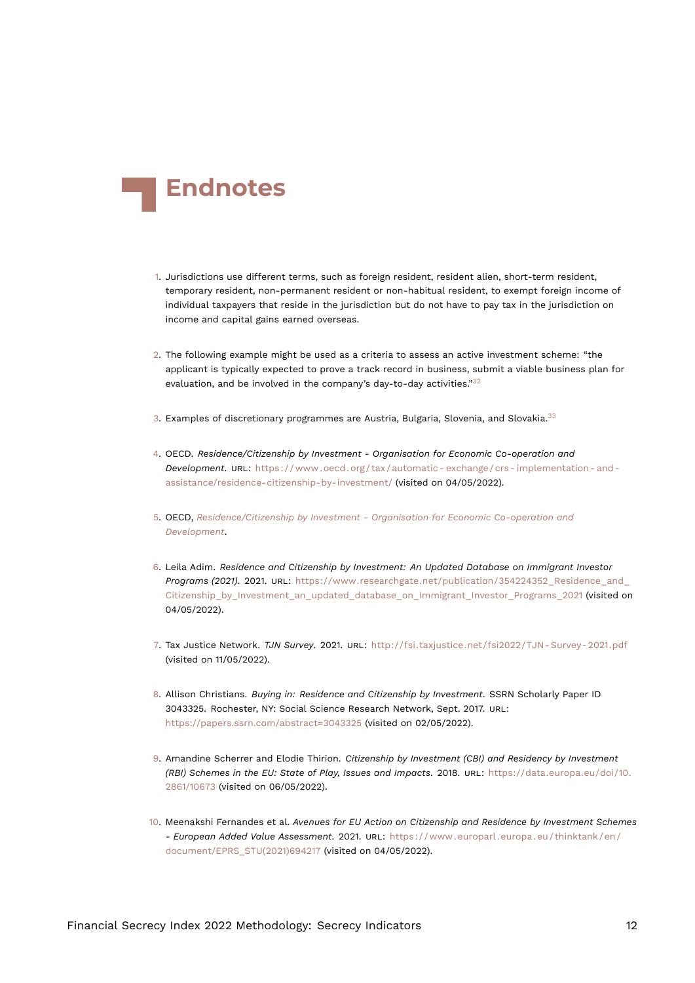<span id="page-11-16"></span>

- <span id="page-11-0"></span>[1.](#page-2-0) Jurisdictions use different terms, such as foreign resident, resident alien, short-term resident, temporary resident, non-permanent resident or non-habitual resident, to exempt foreign income of individual taxpayers that reside in the jurisdiction but do not have to pay tax in the jurisdiction on income and capital gains earned overseas.
- <span id="page-11-13"></span><span id="page-11-1"></span>[2.](#page-3-0) The following example might be used as a criteria to assess an active investment scheme: "the applicant is typically expected to prove a track record in business, submit a viable business plan for evaluation, and be involved in the company's day-to-day activities." $32$
- <span id="page-11-15"></span><span id="page-11-2"></span>[3.](#page-3-1) Examples of discretionary programmes are Austria, Bulgaria, Slovenia, and Slovakia.<sup>[33](#page-13-12)</sup>
- <span id="page-11-10"></span><span id="page-11-3"></span>[4.](#page-3-2) OECD. *Residence/Citizenship by Investment - Organisation for Economic Co-operation and Development*. URL: [https://www.oecd.org/tax/automatic- exchange/crs- implementation- and](https://www.oecd.org/tax/automatic-exchange/crs-implementation-and-assistance/residence-citizenship-by-investment/)[assistance/residence-citizenship-by-investment/](https://www.oecd.org/tax/automatic-exchange/crs-implementation-and-assistance/residence-citizenship-by-investment/) (visited on 04/05/2022).
- <span id="page-11-4"></span>[5.](#page-3-3) OECD, *[Residence/Citizenship by Investment - Organisation for Economic Co-operation and](#page-11-10) [Development](#page-11-10)*.
- <span id="page-11-11"></span><span id="page-11-5"></span>[6.](#page-3-4) Leila Adim. *Residence and Citizenship by Investment: An Updated Database on Immigrant Investor Programs (2021)*. 2021. URL: [https://www.researchgate.net/publication/354224352\\_Residence\\_and\\_](https://www.researchgate.net/publication/354224352_Residence_and_Citizenship_by_Investment_an_updated_database_on_Immigrant_Investor_Programs_2021) [Citizenship\\_by\\_Investment\\_an\\_updated\\_database\\_on\\_Immigrant\\_Investor\\_Programs\\_2021](https://www.researchgate.net/publication/354224352_Residence_and_Citizenship_by_Investment_an_updated_database_on_Immigrant_Investor_Programs_2021) (visited on 04/05/2022).
- <span id="page-11-6"></span>[7.](#page-3-5) Tax Justice Network. *TJN Survey*. 2021. URL: [http://fsi.taxjustice.net/fsi2022/TJN- Survey- 2021.pdf](http://fsi.taxjustice.net/fsi2022/TJN-Survey-2021.pdf) (visited on 11/05/2022).
- <span id="page-11-12"></span><span id="page-11-7"></span>[8.](#page-3-6) Allison Christians. *Buying in: Residence and Citizenship by Investment*. SSRN Scholarly Paper ID 3043325. Rochester, NY: Social Science Research Network, Sept. 2017. URL: <https://papers.ssrn.com/abstract=3043325> (visited on 02/05/2022).
- <span id="page-11-8"></span>[9.](#page-3-7) Amandine Scherrer and Elodie Thirion. *Citizenship by Investment (CBI) and Residency by Investment (RBI) Schemes in the EU: State of Play, Issues and Impacts*. 2018. URL: [https://data.europa.eu/doi/10.](https://data.europa.eu/doi/10.2861/10673) [2861/10673](https://data.europa.eu/doi/10.2861/10673) (visited on 06/05/2022).
- <span id="page-11-14"></span><span id="page-11-9"></span>[10.](#page-3-8) Meenakshi Fernandes et al. *Avenues for EU Action on Citizenship and Residence by Investment Schemes - European Added Value Assessment*. 2021. URL: [https://www.europarl.europa.eu/thinktank/en/](https://www.europarl.europa.eu/thinktank/en/document/EPRS_STU(2021)694217) [document/EPRS\\_STU\(2021\)694217](https://www.europarl.europa.eu/thinktank/en/document/EPRS_STU(2021)694217) (visited on 04/05/2022).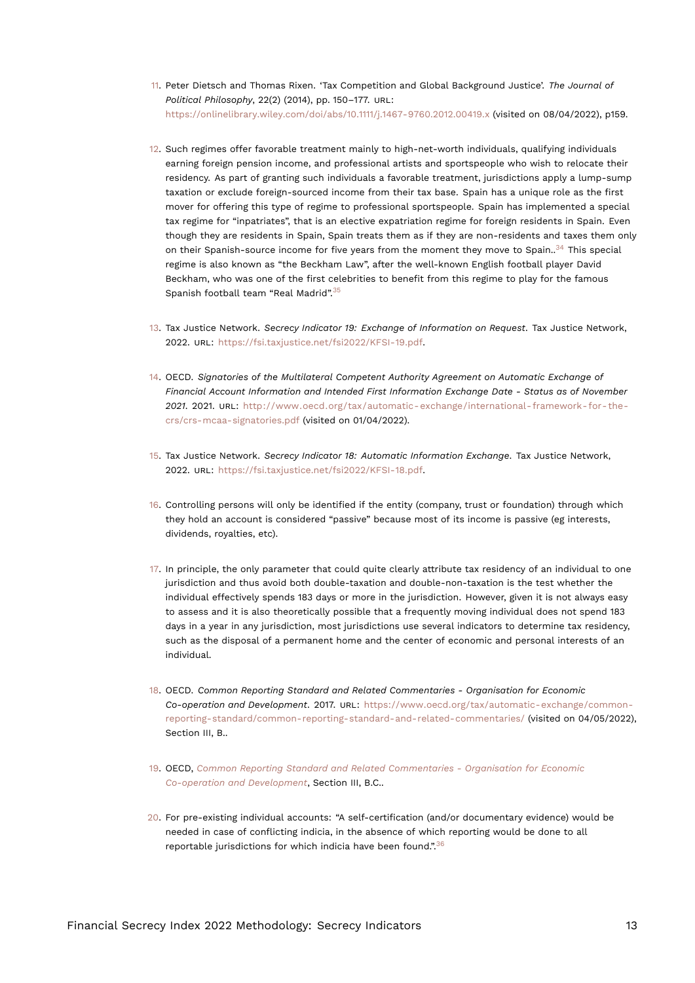- <span id="page-12-15"></span><span id="page-12-0"></span>[11.](#page-3-9) Peter Dietsch and Thomas Rixen. 'Tax Competition and Global Background Justice'. *The Journal of Political Philosophy*, 22(2) (2014), pp. 150–177. URL: <https://onlinelibrary.wiley.com/doi/abs/10.1111/j.1467-9760.2012.00419.x> (visited on 08/04/2022), p159.
- <span id="page-12-1"></span>[12.](#page-3-10) Such regimes offer favorable treatment mainly to high-net-worth individuals, qualifying individuals earning foreign pension income, and professional artists and sportspeople who wish to relocate their residency. As part of granting such individuals a favorable treatment, jurisdictions apply a lump-sump taxation or exclude foreign-sourced income from their tax base. Spain has a unique role as the first mover for offering this type of regime to professional sportspeople. Spain has implemented a special tax regime for "inpatriates", that is an elective expatriation regime for foreign residents in Spain. Even though they are residents in Spain, Spain treats them as if they are non-residents and taxes them only on their Spanish-source income for five years from the moment they move to Spain..<sup>[34](#page-14-0)</sup> This special regime is also known as "the Beckham Law", after the well-known English football player David Beckham, who was one of the first celebrities to benefit from this regime to play for the famous Spanish football team "Real Madrid".[35](#page-14-1)
- <span id="page-12-13"></span><span id="page-12-12"></span><span id="page-12-2"></span>[13.](#page-4-0) Tax Justice Network. *Secrecy Indicator 19: Exchange of Information on Request*. Tax Justice Network, 2022. URL: <https://fsi.taxjustice.net/fsi2022/KFSI-19.pdf>.
- <span id="page-12-3"></span>[14.](#page-4-1) OECD. *Signatories of the Multilateral Competent Authority Agreement on Automatic Exchange of Financial Account Information and Intended First Information Exchange Date - Status as of November 2021*. 2021. URL: [http://www.oecd.org/tax/automatic-exchange/international-framework-for-the](http://www.oecd.org/tax/automatic-exchange/international-framework-for-the-crs/crs-mcaa-signatories.pdf)[crs/crs-mcaa-signatories.pdf](http://www.oecd.org/tax/automatic-exchange/international-framework-for-the-crs/crs-mcaa-signatories.pdf) (visited on 01/04/2022).
- <span id="page-12-11"></span><span id="page-12-4"></span>[15.](#page-4-2) Tax Justice Network. *Secrecy Indicator 18: Automatic Information Exchange*. Tax Justice Network, 2022. URL: <https://fsi.taxjustice.net/fsi2022/KFSI-18.pdf>.
- <span id="page-12-5"></span>[16.](#page-4-3) Controlling persons will only be identified if the entity (company, trust or foundation) through which they hold an account is considered "passive" because most of its income is passive (eg interests, dividends, royalties, etc).
- <span id="page-12-6"></span>[17.](#page-4-4) In principle, the only parameter that could quite clearly attribute tax residency of an individual to one jurisdiction and thus avoid both double-taxation and double-non-taxation is the test whether the individual effectively spends 183 days or more in the jurisdiction. However, given it is not always easy to assess and it is also theoretically possible that a frequently moving individual does not spend 183 days in a year in any jurisdiction, most jurisdictions use several indicators to determine tax residency, such as the disposal of a permanent home and the center of economic and personal interests of an individual.
- <span id="page-12-10"></span><span id="page-12-7"></span>[18.](#page-5-1) OECD. *Common Reporting Standard and Related Commentaries - Organisation for Economic Co-operation and Development*. 2017. URL: [https://www.oecd.org/tax/automatic-exchange/common](https://www.oecd.org/tax/automatic-exchange/common-reporting-standard/common-reporting-standard-and-related-commentaries/)[reporting-standard/common-reporting-standard-and-related-commentaries/](https://www.oecd.org/tax/automatic-exchange/common-reporting-standard/common-reporting-standard-and-related-commentaries/) (visited on 04/05/2022), Section III, B..
- <span id="page-12-8"></span>[19.](#page-5-2) OECD, *[Common Reporting Standard and Related Commentaries - Organisation for Economic](#page-12-10) [Co-operation and Development](#page-12-10)*, Section III, B.C..
- <span id="page-12-14"></span><span id="page-12-9"></span>[20.](#page-5-3) For pre-existing individual accounts: "A self-certification (and/or documentary evidence) would be needed in case of conflicting indicia, in the absence of which reporting would be done to all reportable jurisdictions for which indicia have been found.".[36](#page-14-2)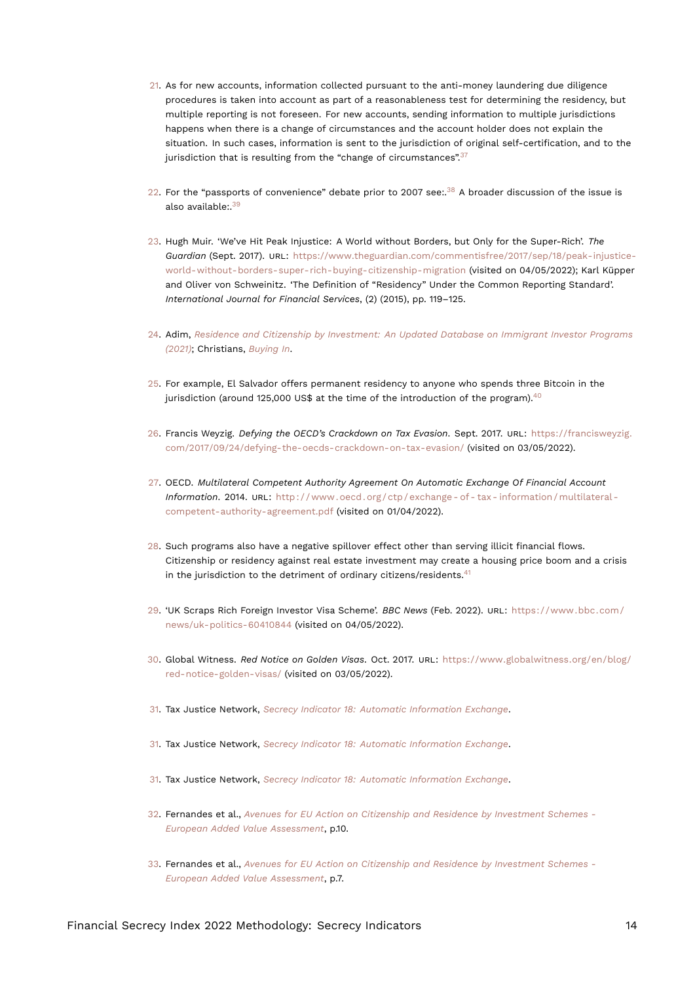- <span id="page-13-18"></span><span id="page-13-0"></span>[21.](#page-5-4) As for new accounts, information collected pursuant to the anti-money laundering due diligence procedures is taken into account as part of a reasonableness test for determining the residency, but multiple reporting is not foreseen. For new accounts, sending information to multiple jurisdictions happens when there is a change of circumstances and the account holder does not explain the situation. In such cases, information is sent to the jurisdiction of original self-certification, and to the jurisdiction that is resulting from the "change of circumstances". $37$
- <span id="page-13-15"></span><span id="page-13-14"></span><span id="page-13-13"></span><span id="page-13-1"></span>[22.](#page-6-0) For the "passports of convenience" debate prior to 2007 see:. $38$  A broader discussion of the issue is also available:  $39$
- <span id="page-13-2"></span>[23.](#page-6-1) Hugh Muir. 'We've Hit Peak Injustice: A World without Borders, but Only for the Super-Rich'. *The Guardian* (Sept. 2017). URL: [https://www.theguardian.com/commentisfree/2017/sep/18/peak-injustice](https://www.theguardian.com/commentisfree/2017/sep/18/peak-injustice-world-without-borders-super-rich-buying-citizenship-migration)[world-without-borders-super-rich-buying-citizenship-migration](https://www.theguardian.com/commentisfree/2017/sep/18/peak-injustice-world-without-borders-super-rich-buying-citizenship-migration) (visited on 04/05/2022); Karl Küpper and Oliver von Schweinitz. 'The Definition of "Residency" Under the Common Reporting Standard'. *International Journal for Financial Services*, (2) (2015), pp. 119–125.
- <span id="page-13-3"></span>[24.](#page-6-2) Adim, *[Residence and Citizenship by Investment: An Updated Database on Immigrant Investor Programs](#page-11-11) [\(2021\)](#page-11-11)*; Christians, *[Buying In](#page-11-12)*.
- <span id="page-13-16"></span><span id="page-13-4"></span>[25.](#page-6-3) For example, El Salvador offers permanent residency to anyone who spends three Bitcoin in the jurisdiction (around 125,000 US\$ at the time of the introduction of the program). $40$
- <span id="page-13-5"></span>[26.](#page-6-4) Francis Weyzig. *Defying the OECD's Crackdown on Tax Evasion*. Sept. 2017. URL: [https://francisweyzig.](https://francisweyzig.com/2017/09/24/defying-the-oecds-crackdown-on-tax-evasion/) [com/2017/09/24/defying-the-oecds-crackdown-on-tax-evasion/](https://francisweyzig.com/2017/09/24/defying-the-oecds-crackdown-on-tax-evasion/) (visited on 03/05/2022).
- <span id="page-13-6"></span>[27.](#page-6-5) OECD. *Multilateral Competent Authority Agreement On Automatic Exchange Of Financial Account Information*. 2014. URL: [http : / / www . oecd . org / ctp / exchange - of - tax - information / multilateral](http://www.oecd.org/ctp/exchange-of-tax-information/multilateral-competent-authority-agreement.pdf)  [competent-authority-agreement.pdf](http://www.oecd.org/ctp/exchange-of-tax-information/multilateral-competent-authority-agreement.pdf) (visited on 01/04/2022).
- <span id="page-13-17"></span><span id="page-13-7"></span>[28.](#page-6-6) Such programs also have a negative spillover effect other than serving illicit financial flows. Citizenship or residency against real estate investment may create a housing price boom and a crisis in the jurisdiction to the detriment of ordinary citizens/residents. $41$
- <span id="page-13-8"></span>[29.](#page-7-1) 'UK Scraps Rich Foreign Investor Visa Scheme'. *BBC News* (Feb. 2022). URL: [https://www.bbc.com/](https://www.bbc.com/news/uk-politics-60410844) [news/uk-politics-60410844](https://www.bbc.com/news/uk-politics-60410844) (visited on 04/05/2022).
- <span id="page-13-9"></span>[30.](#page-7-2) Global Witness. *Red Notice on Golden Visas*. Oct. 2017. URL: [https://www.globalwitness.org/en/blog/](https://www.globalwitness.org/en/blog/red-notice-golden-visas/) [red-notice-golden-visas/](https://www.globalwitness.org/en/blog/red-notice-golden-visas/) (visited on 03/05/2022).
- 31. Tax Justice Network, *[Secrecy Indicator 18: Automatic Information Exchange](#page-12-11)*.
- 31. Tax Justice Network, *[Secrecy Indicator 18: Automatic Information Exchange](#page-12-11)*.
- <span id="page-13-10"></span>[31.](#page-7-3) Tax Justice Network, *[Secrecy Indicator 18: Automatic Information Exchange](#page-12-11)*.
- <span id="page-13-11"></span>[32.](#page-11-13) Fernandes et al., *[Avenues for EU Action on Citizenship and Residence by Investment Schemes -](#page-11-14) [European Added Value Assessment](#page-11-14)*, p.10.
- <span id="page-13-12"></span>[33.](#page-11-15) Fernandes et al., *[Avenues for EU Action on Citizenship and Residence by Investment Schemes -](#page-11-14) [European Added Value Assessment](#page-11-14)*, p.7.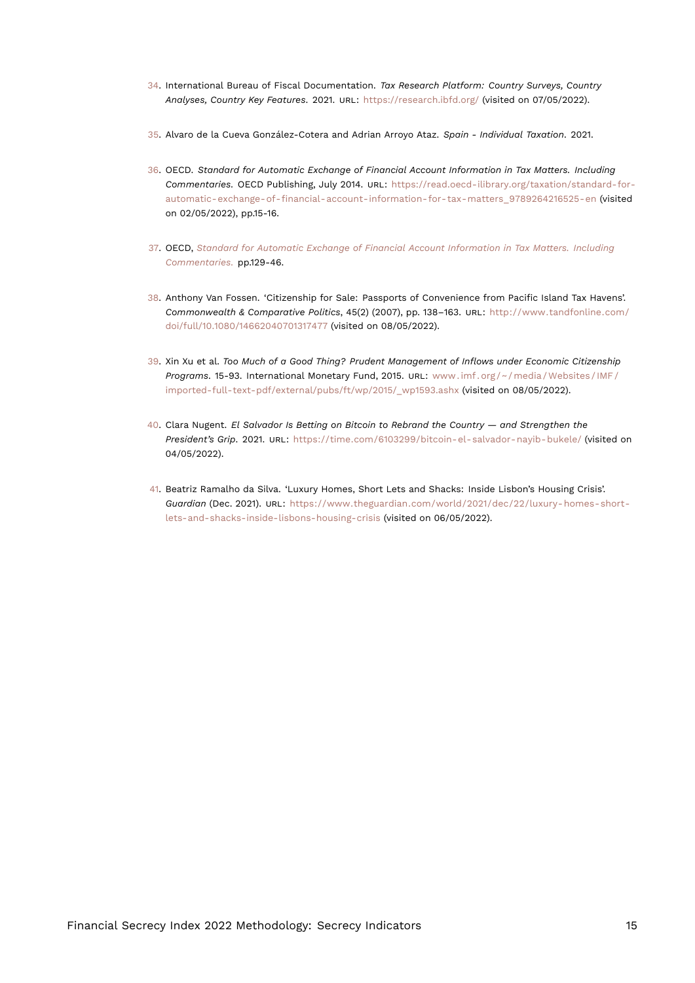- <span id="page-14-9"></span><span id="page-14-0"></span>[34.](#page-12-12) International Bureau of Fiscal Documentation. *Tax Research Platform: Country Surveys, Country Analyses, Country Key Features*. 2021. URL: <https://research.ibfd.org/> (visited on 07/05/2022).
- <span id="page-14-1"></span>[35.](#page-12-13) Alvaro de la Cueva González-Cotera and Adrian Arroyo Ataz. *Spain - Individual Taxation*. 2021.
- <span id="page-14-8"></span><span id="page-14-2"></span>[36.](#page-12-14) OECD. *Standard for Automatic Exchange of Financial Account Information in Tax Matters. Including Commentaries.* OECD Publishing, July 2014. URL: [https://read.oecd-ilibrary.org/taxation/standard-for](https://read.oecd-ilibrary.org/taxation/standard-for-automatic-exchange-of-financial-account-information-for-tax-matters_9789264216525-en)[automatic-exchange-of-financial-account-information-for-tax-matters\\_9789264216525-en](https://read.oecd-ilibrary.org/taxation/standard-for-automatic-exchange-of-financial-account-information-for-tax-matters_9789264216525-en) (visited on 02/05/2022), pp.15-16.
- <span id="page-14-3"></span>[37.](#page-13-13) OECD, *[Standard for Automatic Exchange of Financial Account Information in Tax Matters. Including](#page-14-8) [Commentaries.](#page-14-8)* pp.129-46.
- <span id="page-14-4"></span>[38.](#page-13-14) Anthony Van Fossen. 'Citizenship for Sale: Passports of Convenience from Pacific Island Tax Havens'. *Commonwealth & Comparative Politics*, 45(2) (2007), pp. 138–163. URL: [http://www.tandfonline.com/](http://www.tandfonline.com/doi/full/10.1080/14662040701317477) [doi/full/10.1080/14662040701317477](http://www.tandfonline.com/doi/full/10.1080/14662040701317477) (visited on 08/05/2022).
- <span id="page-14-5"></span>[39.](#page-13-15) Xin Xu et al. *Too Much of a Good Thing? Prudent Management of Inflows under Economic Citizenship Programs*. 15-93. International Monetary Fund, 2015. URL: [www . imf . org / ~ / media / Websites / IMF /](www.imf.org/~/media/Websites/IMF/imported-full-text-pdf/external/pubs/ft/wp/2015/_wp1593.ashx) [imported-full-text-pdf/external/pubs/ft/wp/2015/\\_wp1593.ashx](www.imf.org/~/media/Websites/IMF/imported-full-text-pdf/external/pubs/ft/wp/2015/_wp1593.ashx) (visited on 08/05/2022).
- <span id="page-14-6"></span>[40.](#page-13-16) Clara Nugent. *El Salvador Is Betting on Bitcoin to Rebrand the Country — and Strengthen the President's Grip*. 2021. URL: <https://time.com/6103299/bitcoin-el-salvador-nayib-bukele/> (visited on 04/05/2022).
- <span id="page-14-7"></span>[41.](#page-13-17) Beatriz Ramalho da Silva. 'Luxury Homes, Short Lets and Shacks: Inside Lisbon's Housing Crisis'. *Guardian* (Dec. 2021). URL: [https://www.theguardian.com/world/2021/dec/22/luxury-homes-short](https://www.theguardian.com/world/2021/dec/22/luxury-homes-short-lets-and-shacks-inside-lisbons-housing-crisis)[lets-and-shacks-inside-lisbons-housing-crisis](https://www.theguardian.com/world/2021/dec/22/luxury-homes-short-lets-and-shacks-inside-lisbons-housing-crisis) (visited on 06/05/2022).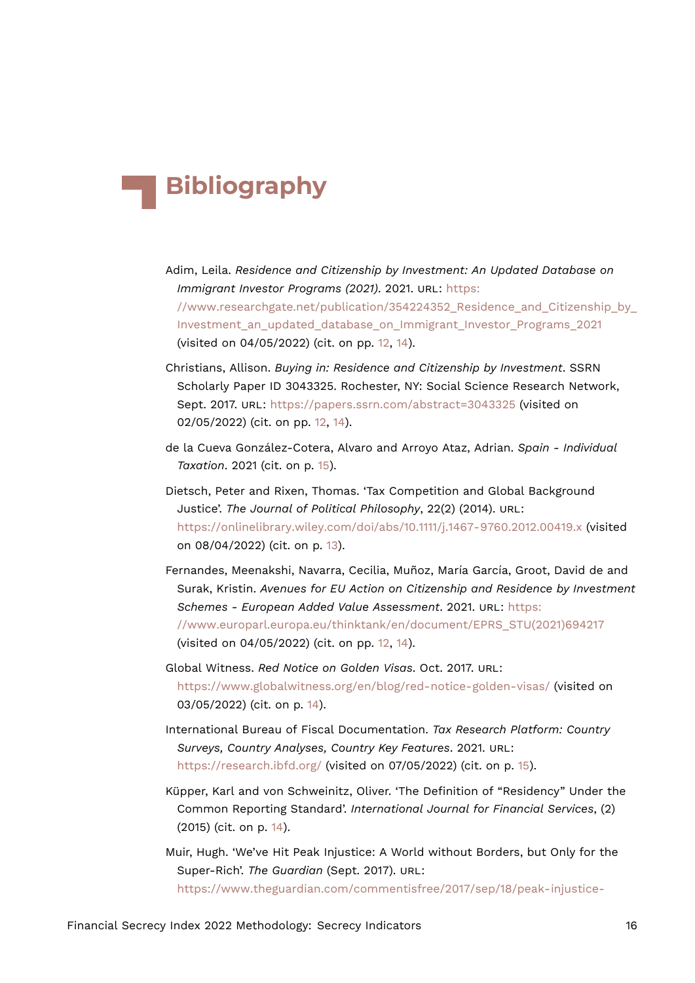# **Bibliography**

- Adim, Leila. *Residence and Citizenship by Investment: An Updated Database on Immigrant Investor Programs (2021)*. 2021. URL: [https:](https://www.researchgate.net/publication/354224352_Residence_and_Citizenship_by_Investment_an_updated_database_on_Immigrant_Investor_Programs_2021) [//www.researchgate.net/publication/354224352\\_Residence\\_and\\_Citizenship\\_by\\_](https://www.researchgate.net/publication/354224352_Residence_and_Citizenship_by_Investment_an_updated_database_on_Immigrant_Investor_Programs_2021) [Investment\\_an\\_updated\\_database\\_on\\_Immigrant\\_Investor\\_Programs\\_2021](https://www.researchgate.net/publication/354224352_Residence_and_Citizenship_by_Investment_an_updated_database_on_Immigrant_Investor_Programs_2021) (visited on 04/05/2022) (cit. on pp. [12,](#page-11-16) [14\)](#page-13-18).
- Christians, Allison. *Buying in: Residence and Citizenship by Investment*. SSRN Scholarly Paper ID 3043325. Rochester, NY: Social Science Research Network, Sept. 2017. URL: <https://papers.ssrn.com/abstract=3043325> (visited on 02/05/2022) (cit. on pp. [12,](#page-11-16) [14\)](#page-13-18).
- de la Cueva González-Cotera, Alvaro and Arroyo Ataz, Adrian. *Spain Individual Taxation*. 2021 (cit. on p. [15](#page-14-9)).
- Dietsch, Peter and Rixen, Thomas. 'Tax Competition and Global Background Justice'. *The Journal of Political Philosophy*, 22(2) (2014). URL: <https://onlinelibrary.wiley.com/doi/abs/10.1111/j.1467-9760.2012.00419.x> (visited on 08/04/2022) (cit. on p. [13\)](#page-12-15).
- Fernandes, Meenakshi, Navarra, Cecilia, Muñoz, María García, Groot, David de and Surak, Kristin. *Avenues for EU Action on Citizenship and Residence by Investment Schemes - European Added Value Assessment*. 2021. URL: [https:](https://www.europarl.europa.eu/thinktank/en/document/EPRS_STU(2021)694217) [//www.europarl.europa.eu/thinktank/en/document/EPRS\\_STU\(2021\)694217](https://www.europarl.europa.eu/thinktank/en/document/EPRS_STU(2021)694217) (visited on 04/05/2022) (cit. on pp. [12,](#page-11-16) [14\)](#page-13-18).
- Global Witness. *Red Notice on Golden Visas*. Oct. 2017. URL: <https://www.globalwitness.org/en/blog/red-notice-golden-visas/> (visited on 03/05/2022) (cit. on p. [14](#page-13-18)).
- International Bureau of Fiscal Documentation. *Tax Research Platform: Country Surveys, Country Analyses, Country Key Features*. 2021. URL: <https://research.ibfd.org/> (visited on 07/05/2022) (cit. on p. [15\)](#page-14-9).
- Küpper, Karl and von Schweinitz, Oliver. 'The Definition of "Residency" Under the Common Reporting Standard'. *International Journal for Financial Services*, (2) (2015) (cit. on p. [14\)](#page-13-18).
- Muir, Hugh. 'We've Hit Peak Injustice: A World without Borders, but Only for the Super-Rich'. *The Guardian* (Sept. 2017). URL: [https://www.theguardian.com/commentisfree/2017/sep/18/peak-injustice-](https://www.theguardian.com/commentisfree/2017/sep/18/peak-injustice-world-without-borders-super-rich-buying-citizenship-migration)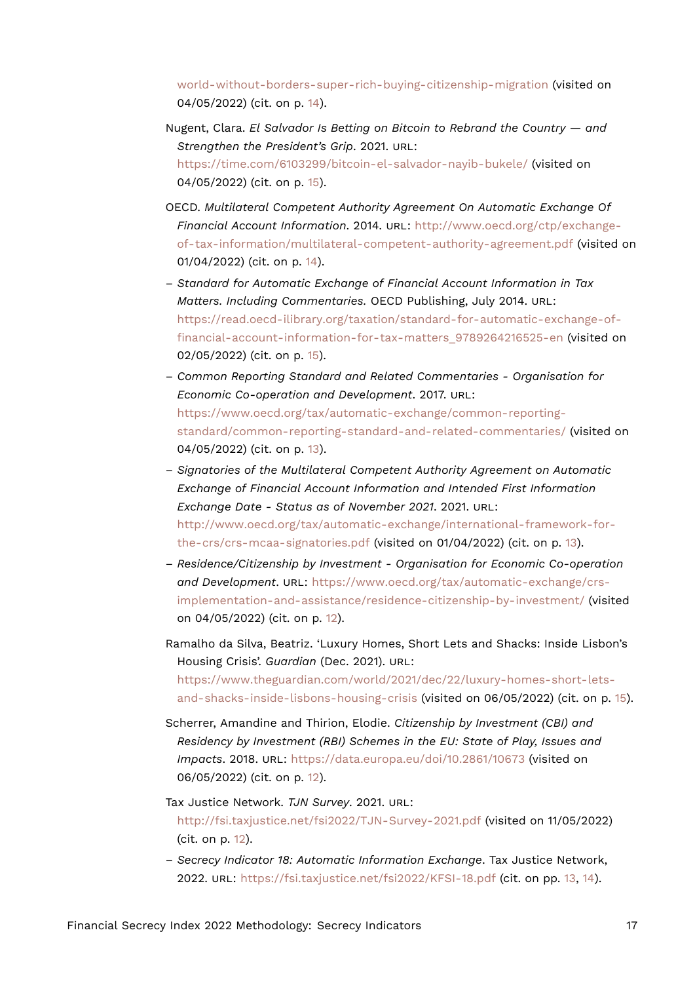[world-without-borders-super-rich-buying-citizenship-migration](https://www.theguardian.com/commentisfree/2017/sep/18/peak-injustice-world-without-borders-super-rich-buying-citizenship-migration) (visited on 04/05/2022) (cit. on p. [14\)](#page-13-18).

- Nugent, Clara. *El Salvador Is Betting on Bitcoin to Rebrand the Country and Strengthen the President's Grip*. 2021. URL: <https://time.com/6103299/bitcoin-el-salvador-nayib-bukele/> (visited on 04/05/2022) (cit. on p. [15\)](#page-14-9).
- OECD. *Multilateral Competent Authority Agreement On Automatic Exchange Of Financial Account Information*. 2014. URL: [http://www.oecd.org/ctp/exchange](http://www.oecd.org/ctp/exchange-of-tax-information/multilateral-competent-authority-agreement.pdf)[of-tax-information/multilateral-competent-authority-agreement.pdf](http://www.oecd.org/ctp/exchange-of-tax-information/multilateral-competent-authority-agreement.pdf) (visited on 01/04/2022) (cit. on p. [14](#page-13-18)).
- *Standard for Automatic Exchange of Financial Account Information in Tax Matters. Including Commentaries.* OECD Publishing, July 2014. URL: [https://read.oecd-ilibrary.org/taxation/standard-for-automatic-exchange-of](https://read.oecd-ilibrary.org/taxation/standard-for-automatic-exchange-of-financial-account-information-for-tax-matters_9789264216525-en)[financial-account-information-for-tax-matters\\_9789264216525-en](https://read.oecd-ilibrary.org/taxation/standard-for-automatic-exchange-of-financial-account-information-for-tax-matters_9789264216525-en) (visited on 02/05/2022) (cit. on p. [15](#page-14-9)).
- *Common Reporting Standard and Related Commentaries Organisation for Economic Co-operation and Development*. 2017. URL: [https://www.oecd.org/tax/automatic-exchange/common-reporting](https://www.oecd.org/tax/automatic-exchange/common-reporting-standard/common-reporting-standard-and-related-commentaries/)[standard/common-reporting-standard-and-related-commentaries/](https://www.oecd.org/tax/automatic-exchange/common-reporting-standard/common-reporting-standard-and-related-commentaries/) (visited on 04/05/2022) (cit. on p. [13\)](#page-12-15).
- *Signatories of the Multilateral Competent Authority Agreement on Automatic Exchange of Financial Account Information and Intended First Information Exchange Date - Status as of November 2021*. 2021. URL: [http://www.oecd.org/tax/automatic-exchange/international-framework-for](http://www.oecd.org/tax/automatic-exchange/international-framework-for-the-crs/crs-mcaa-signatories.pdf)[the-crs/crs-mcaa-signatories.pdf](http://www.oecd.org/tax/automatic-exchange/international-framework-for-the-crs/crs-mcaa-signatories.pdf) (visited on 01/04/2022) (cit. on p. [13](#page-12-15)).
- *Residence/Citizenship by Investment Organisation for Economic Co-operation and Development*. URL: [https://www.oecd.org/tax/automatic-exchange/crs](https://www.oecd.org/tax/automatic-exchange/crs-implementation-and-assistance/residence-citizenship-by-investment/)[implementation-and-assistance/residence-citizenship-by-investment/](https://www.oecd.org/tax/automatic-exchange/crs-implementation-and-assistance/residence-citizenship-by-investment/) (visited on 04/05/2022) (cit. on p. [12](#page-11-16)).
- Ramalho da Silva, Beatriz. 'Luxury Homes, Short Lets and Shacks: Inside Lisbon's Housing Crisis'. *Guardian* (Dec. 2021). URL: [https://www.theguardian.com/world/2021/dec/22/luxury-homes-short-lets](https://www.theguardian.com/world/2021/dec/22/luxury-homes-short-lets-and-shacks-inside-lisbons-housing-crisis)[and-shacks-inside-lisbons-housing-crisis](https://www.theguardian.com/world/2021/dec/22/luxury-homes-short-lets-and-shacks-inside-lisbons-housing-crisis) (visited on 06/05/2022) (cit. on p. [15\)](#page-14-9).
- Scherrer, Amandine and Thirion, Elodie. *Citizenship by Investment (CBI) and Residency by Investment (RBI) Schemes in the EU: State of Play, Issues and Impacts*. 2018. URL: <https://data.europa.eu/doi/10.2861/10673> (visited on 06/05/2022) (cit. on p. [12\)](#page-11-16).
- Tax Justice Network. *TJN Survey*. 2021. URL: <http://fsi.taxjustice.net/fsi2022/TJN-Survey-2021.pdf> (visited on 11/05/2022) (cit. on p. [12](#page-11-16)).
- *Secrecy Indicator 18: Automatic Information Exchange*. Tax Justice Network, 2022. URL: <https://fsi.taxjustice.net/fsi2022/KFSI-18.pdf> (cit. on pp. [13](#page-12-15), [14](#page-13-18)).